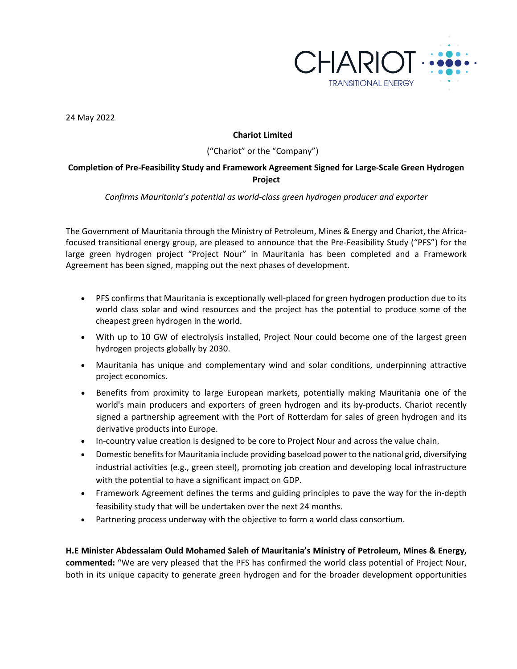

24 May 2022

## **Chariot Limited**

### ("Chariot" or the "Company")

# **Completion of Pre-Feasibility Study and Framework Agreement Signed for Large-Scale Green Hydrogen Project**

### *Confirms Mauritania's potential as world-class green hydrogen producer and exporter*

The Government of Mauritania through the Ministry of Petroleum, Mines & Energy and Chariot, the Africafocused transitional energy group, are pleased to announce that the Pre-Feasibility Study ("PFS") for the large green hydrogen project "Project Nour" in Mauritania has been completed and a Framework Agreement has been signed, mapping out the next phases of development.

- PFS confirms that Mauritania is exceptionally well-placed for green hydrogen production due to its world class solar and wind resources and the project has the potential to produce some of the cheapest green hydrogen in the world.
- With up to 10 GW of electrolysis installed, Project Nour could become one of the largest green hydrogen projects globally by 2030.
- Mauritania has unique and complementary wind and solar conditions, underpinning attractive project economics.
- Benefits from proximity to large European markets, potentially making Mauritania one of the world's main producers and exporters of green hydrogen and its by-products. Chariot recently signed a partnership agreement with the Port of Rotterdam for sales of green hydrogen and its derivative products into Europe.
- In-country value creation is designed to be core to Project Nour and across the value chain.
- Domestic benefits for Mauritania include providing baseload power to the national grid, diversifying industrial activities (e.g., green steel), promoting job creation and developing local infrastructure with the potential to have a significant impact on GDP.
- Framework Agreement defines the terms and guiding principles to pave the way for the in-depth feasibility study that will be undertaken over the next 24 months.
- Partnering process underway with the objective to form a world class consortium.

**H.E Minister Abdessalam Ould Mohamed Saleh of Mauritania's Ministry of Petroleum, Mines & Energy, commented:** "We are very pleased that the PFS has confirmed the world class potential of Project Nour, both in its unique capacity to generate green hydrogen and for the broader development opportunities